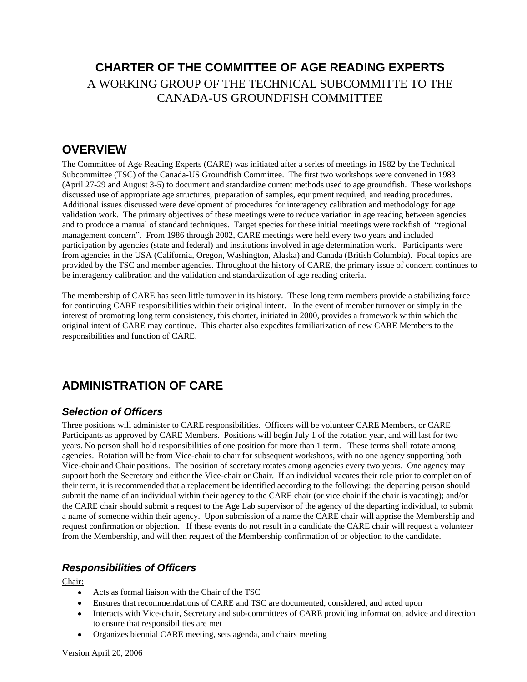# **CHARTER OF THE COMMITTEE OF AGE READING EXPERTS** A WORKING GROUP OF THE TECHNICAL SUBCOMMITTE TO THE CANADA-US GROUNDFISH COMMITTEE

### **OVERVIEW**

The Committee of Age Reading Experts (CARE) was initiated after a series of meetings in 1982 by the Technical Subcommittee (TSC) of the Canada-US Groundfish Committee. The first two workshops were convened in 1983 (April 27-29 and August 3-5) to document and standardize current methods used to age groundfish. These workshops discussed use of appropriate age structures, preparation of samples, equipment required, and reading procedures. Additional issues discussed were development of procedures for interagency calibration and methodology for age validation work. The primary objectives of these meetings were to reduce variation in age reading between agencies and to produce a manual of standard techniques. Target species for these initial meetings were rockfish of "regional" management concern". From 1986 through 2002, CARE meetings were held every two years and included participation by agencies (state and federal) and institutions involved in age determination work. Participants were from agencies in the USA (California, Oregon, Washington, Alaska) and Canada (British Columbia). Focal topics are provided by the TSC and member agencies. Throughout the history of CARE, the primary issue of concern continues to be interagency calibration and the validation and standardization of age reading criteria.

The membership of CARE has seen little turnover in its history. These long term members provide a stabilizing force for continuing CARE responsibilities within their original intent. In the event of member turnover or simply in the interest of promoting long term consistency, this charter, initiated in 2000, provides a framework within which the original intent of CARE may continue. This charter also expedites familiarization of new CARE Members to the responsibilities and function of CARE.

## **ADMINISTRATION OF CARE**

#### **Selection of Officers**

Three positions will administer to CARE responsibilities. Officers will be volunteer CARE Members, or CARE Participants as approved by CARE Members. Positions will begin July 1 of the rotation year, and will last for two years. No person shall hold responsibilities of one position for more than 1 term. These terms shall rotate among agencies. Rotation will be from Vice-chair to chair for subsequent workshops, with no one agency supporting both Vice-chair and Chair positions. The position of secretary rotates among agencies every two years. One agency may support both the Secretary and either the Vice-chair or Chair. If an individual vacates their role prior to completion of their term, it is recommended that a replacement be identified according to the following: the departing person should submit the name of an individual within their agency to the CARE chair (or vice chair if the chair is vacating); and/or the CARE chair should submit a request to the Age Lab supervisor of the agency of the departing individual, to submit a name of someone within their agency. Upon submission of a name the CARE chair will apprise the Membership and request confirmation or objection. If these events do not result in a candidate the CARE chair will request a volunteer from the Membership, and will then request of the Membership confirmation of or objection to the candidate.

#### **Responsibilities of Officers**

Chair: **Chair**: **Chairs** and **Chairs** and **Chairs** and **Chairs** and **Chairs** and **Chairs** and **Chairs** and **Chairs** and **Chairs** and **Chairs** and **Chairs** and **Chairs** and **Chairs** and **Chairs** and **Chairs** and **Chairs** an

- Acts as formal liaison with the Chair of the TSC
- Ensures that recommendations of CARE and TSC are documented, considered, and acted upon
- Interacts with Vice-chair, Secretary and sub-committees of CARE providing information, advice and direction to ensure that responsibilities are met
- Organizes biennial CARE meeting, sets agenda, and chairs meeting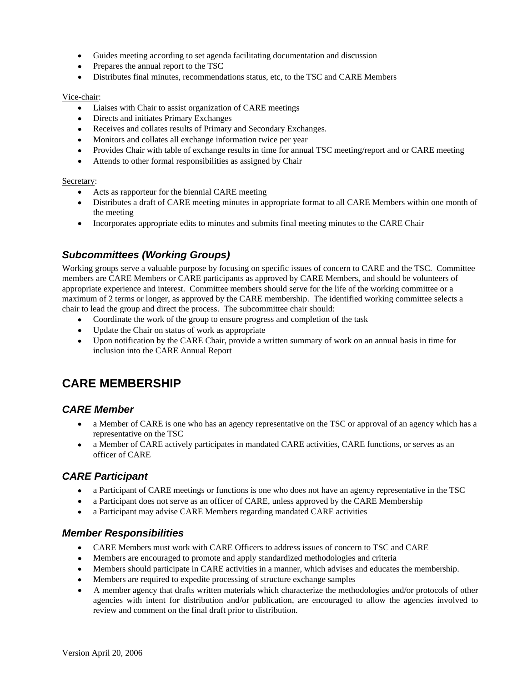- Guides meeting according to set agenda facilitating documentation and discussion
- Prepares the annual report to the TSC
- Distributes final minutes, recommendations status, etc, to the TSC and CARE Members

#### **Vice-chair:** The contract of the contract of the contract of the contract of the contract of the contract of the contract of the contract of the contract of the contract of the contract of the contract of the contract of

- Liaises with Chair to assist organization of CARE meetings
- Directs and initiates Primary Exchanges
- Receives and collates results of Primary and Secondary Exchanges.
- Monitors and collates all exchange information twice per year
- Provides Chair with table of exchange results in time for annual TSC meeting/report and or CARE meeting
- Attends to other formal responsibilities as assigned by Chair

#### Secretary: Secretary: Secretary: Secretary: Secretary: Secretary: Secretary: Secretary: Secretary: Secretary: Secretary: Secretary: Secretary: Secretary: Secretary: Secretary: Secretary: Secretary: Secretary: Secretary: Se

- Acts as rapporteur for the biennial CARE meeting
- Distributes a draft of CARE meeting minutes in appropriate format to all CARE Members within one month of the meeting the matrix of the meeting the matrix of the meeting the meeting of the meeting of the matrix of the meeting of the matrix of the matrix of the matrix of the matrix of the matrix of the matrix of the matrix of t
- Incorporates appropriate edits to minutes and submits final meeting minutes to the CARE Chair

#### **Subcommittees (Working Groups)**

Working groups serve a valuable purpose by focusing on specific issues of concern to CARE and the TSC. Committee members are CARE Members or CARE participants as approved by CARE Members, and should be volunteers of appropriate experience and interest. Committee members should serve for the life of the working committee or a maximum of 2 terms or longer, as approved by the CARE membership. The identified working committee selects a chair to lead the group and direct the process. The subcommittee chair should:

- Coordinate the work of the group to ensure progress and completion of the task
- Update the Chair on status of work as appropriate
- Upon notification by the CARE Chair, provide a written summary of work on an annual basis in time for inclusion into the CARE Annual Report

# **CARE MEMBERSHIP**

#### **CARE Member**

- a Member of CARE is one who has an agency representative on the TSC or approval of an agency which has a representative on the TSC
- a Member of CARE actively participates in mandated CARE activities, CARE functions, or serves as an officer of CARE

#### **CARE Participant**

- a Participant of CARE meetings or functions is one who does not have an agency representative in the TSC
- a Participant does not serve as an officer of CARE, unless approved by the CARE Membership
- a Participant may advise CARE Members regarding mandated CARE activities

#### **Member Responsibilities**

- CARE Members must work with CARE Officers to address issues of concern to TSC and CARE
- Members are encouraged to promote and apply standardized methodologies and criteria
- Members should participate in CARE activities in a manner, which advises and educates the membership.
- Members are required to expedite processing of structure exchange samples
- A member agency that drafts written materials which characterize the methodologies and/or protocols of other agencies with intent for distribution and/or publication, are encouraged to allow the agencies involved to review and comment on the final draft prior to distribution.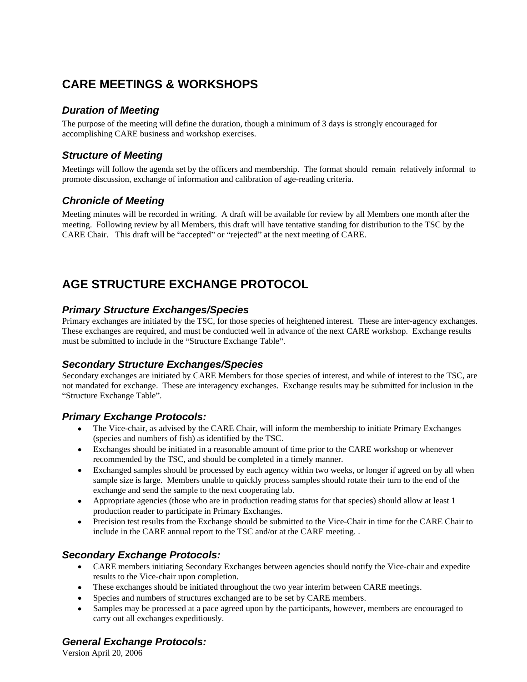# **CARE MEETINGS & WORKSHOPS**

### **Duration of Meeting**

The purpose of the meeting will define the duration, though a minimum of 3 days is strongly encouraged for accomplishing CARE business and workshop exercises.

#### **Structure of Meeting**

Meetings will follow the agenda set by the officers and membership. The format should remain relatively informal to promote discussion, exchange of information and calibration of age-reading criteria.

#### **Chronicle of Meeting**

Meeting minutes will be recorded in writing. A draft will be available for review by all Members one month after the meeting. Following review by all Members, this draft will have tentative standing for distribution to the TSC by the CARE Chair. This draft will be "accepted" or "rejected" at the next meeting of CARE.

# **AGE STRUCTURE EXCHANGE PROTOCOL**

#### **Primary Structure Exchanges/Species**

Primary exchanges are initiated by the TSC, for those species of heightened interest. These are inter-agency exchanges. These exchanges are required, and must be conducted well in advance of the next CARE workshop. Exchange results must be submitted to include in the "Structure Exchange Table".

### **Secondary Structure Exchanges/Species**

Secondary exchanges are initiated by CARE Members for those species of interest, and while of interest to the TSC, are not mandated for exchange. These are interagency exchanges. Exchange results may be submitted for inclusion in the Structure Exchange Table". States of the state of the state of the state of the state of the state of the state of the state of the state of the state of the state of the state of the state of the state of the state of the

#### **Primary Exchange Protocols:**

- The Vice-chair, as advised by the CARE Chair, will inform the membership to initiate Primary Exchanges (species and numbers of fish) as identified by the TSC.
- Exchanges should be initiated in a reasonable amount of time prior to the CARE workshop or whenever recommended by the TSC, and should be completed in a timely manner.
- Exchanged samples should be processed by each agency within two weeks, or longer if agreed on by all when sample size is large. Members unable to quickly process samples should rotate their turn to the end of the exchange and send the sample to the next cooperating lab.
- Appropriate agencies (those who are in production reading status for that species) should allow at least 1 production reader to participate in Primary Exchanges.
- Precision test results from the Exchange should be submitted to the Vice-Chair in time for the CARE Chair to include in the CARE annual report to the TSC and/or at the CARE meeting. .

#### **Secondary Exchange Protocols:**

- CARE members initiating Secondary Exchanges between agencies should notify the Vice-chair and expedite results to the Vice-chair upon completion.
- These exchanges should be initiated throughout the two year interim between CARE meetings.
- Species and numbers of structures exchanged are to be set by CARE members.
- Samples may be processed at a pace agreed upon by the participants, however, members are encouraged to carry out all exchanges expeditiously.

### **General Exchange Protocols:**

Version April 20, 2006